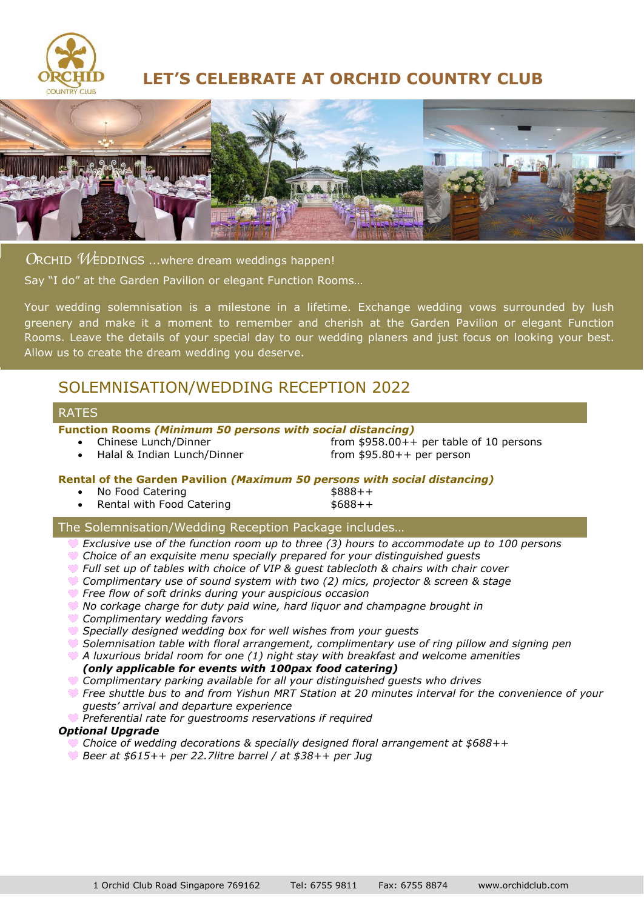

# **LET'S CELEBRATE AT ORCHID COUNTRY CLUB**



*O*RCHID *W*EDDINGS ...where dream weddings happen! Say "I do" at the Garden Pavilion or elegant Function Rooms…

Your wedding solemnisation is a milestone in a lifetime. Exchange wedding vows surrounded by lush greenery and make it a moment to remember and cherish at the Garden Pavilion or elegant Function Rooms. Leave the details of your special day to our wedding planers and just focus on looking your best. Allow us to create the dream wedding you deserve.

# SOLEMNISATION/WEDDING RECEPTION 2022

#### RATES

**Function Rooms** *(Minimum 50 persons with social distancing)*

• Chinese Lunch/Dinner from \$958.00++ per table of 10 persons • Halal & Indian Lunch/Dinner from \$95.80++ per person

**Rental of the Garden Pavilion** *(Maximum 50 persons with social distancing)*

- $\sim$  No Food Catering  $\sim$  \$888++
- Rental with Food Catering  $$688++$

#### The Solemnisation/Wedding Reception Package includes…

- *Exclusive use of the function room up to three (3) hours to accommodate up to 100 persons*
- *Choice of an exquisite menu specially prepared for your distinguished guests*
- *Full set up of tables with choice of VIP & guest tablecloth & chairs with chair cover*
- *Complimentary use of sound system with two (2) mics, projector & screen & stage*
- *Free flow of soft drinks during your auspicious occasion*
- *No corkage charge for duty paid wine, hard liquor and champagne brought in*
- *Complimentary wedding favors*
- *Specially designed wedding box for well wishes from your guests*
- *Solemnisation table with floral arrangement, complimentary use of ring pillow and signing pen*
- *A luxurious bridal room for one (1) night stay with breakfast and welcome amenities (only applicable for events with 100pax food catering)*
- *Complimentary parking available for all your distinguished guests who drives*
- *Free shuttle bus to and from Yishun MRT Station at 20 minutes interval for the convenience of your guests' arrival and departure experience*
- *Preferential rate for guestrooms reservations if required*

#### *Optional Upgrade*

- *Choice of wedding decorations & specially designed floral arrangement at \$688++*
- *Beer at \$615++ per 22.7litre barrel / at \$38++ per Jug*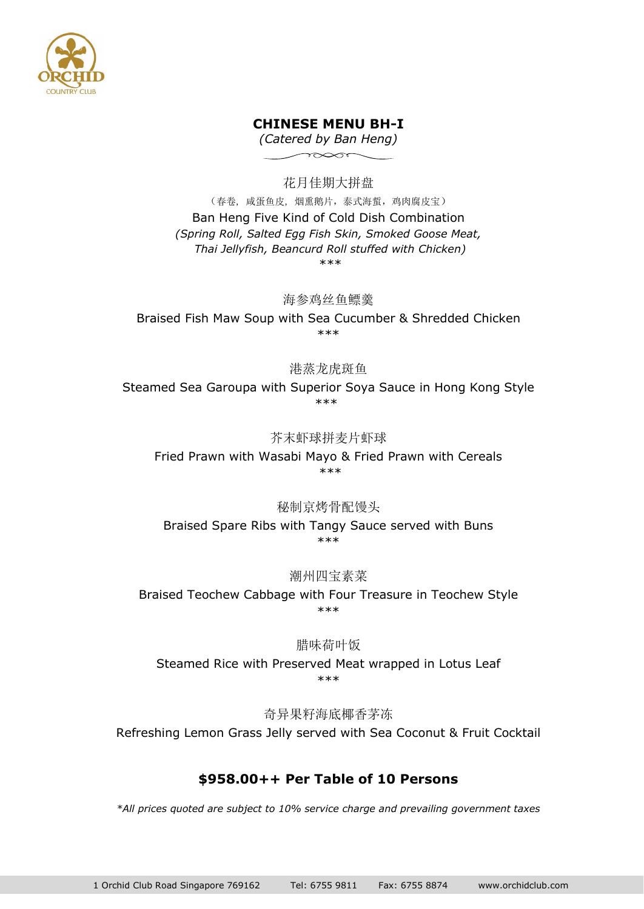

## **CHINESE MENU BH-I**

*(Catered by Ban Heng)*  $\infty$ 

花月佳期大拼盘 (春卷, 咸蛋鱼皮, 烟熏鹅片,泰式海蜇,鸡肉腐皮宝) Ban Heng Five Kind of Cold Dish Combination *(Spring Roll, Salted Egg Fish Skin, Smoked Goose Meat, Thai Jellyfish, Beancurd Roll stuffed with Chicken)* \*\*\*

海参鸡丝鱼鳔羹

Braised Fish Maw Soup with Sea Cucumber & Shredded Chicken \*\*\*

港蒸龙虎斑鱼

Steamed Sea Garoupa with Superior Soya Sauce in Hong Kong Style \*\*\*

芥末虾球拼麦片虾球

Fried Prawn with Wasabi Mayo & Fried Prawn with Cereals \*\*\*

秘制京烤骨配馒头

Braised Spare Ribs with Tangy Sauce served with Buns \*\*\*

潮州四宝素菜

Braised Teochew Cabbage with Four Treasure in Teochew Style \*\*\*

#### 腊味荷叶饭

Steamed Rice with Preserved Meat wrapped in Lotus Leaf \*\*\*

奇异果籽海底椰香茅冻 Refreshing Lemon Grass Jelly served with Sea Coconut & Fruit Cocktail

# **\$958.00++ Per Table of 10 Persons**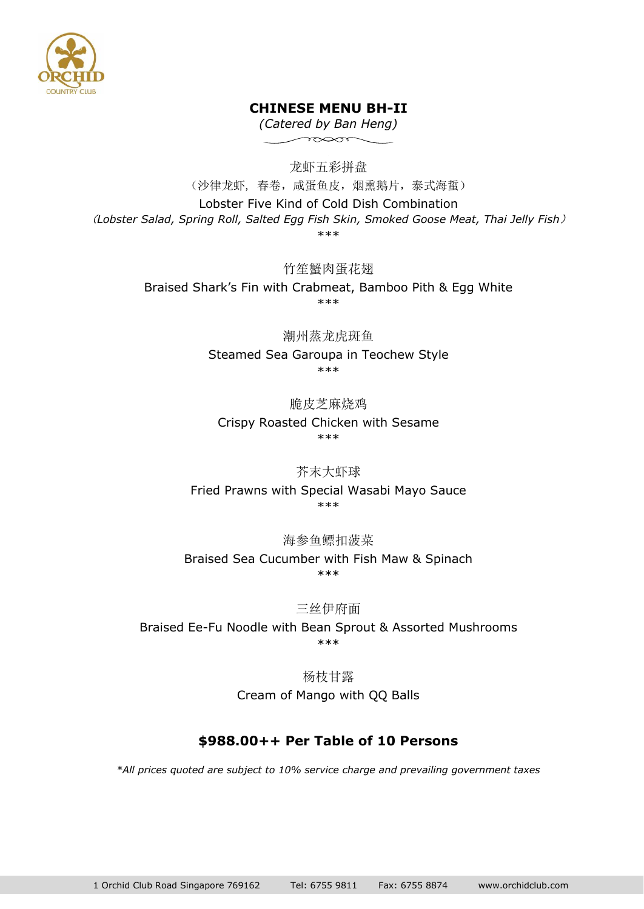

# **CHINESE MENU BH-II**

*(Catered by Ban Heng)*  $\sim$ 

龙虾五彩拼盘

(沙律龙虾, 春卷,咸蛋鱼皮,烟熏鹅片,泰式海蜇) Lobster Five Kind of Cold Dish Combination (*Lobster Salad, Spring Roll, Salted Egg Fish Skin, Smoked Goose Meat, Thai Jelly Fish*) \*\*\*

> 竹笙蟹肉蛋花翅 Braised Shark's Fin with Crabmeat, Bamboo Pith & Egg White \*\*\*

> > 潮州蒸龙虎斑鱼 Steamed Sea Garoupa in Teochew Style \*\*\*

脆皮芝麻烧鸡 Crispy Roasted Chicken with Sesame \*\*\*

芥末大虾球 Fried Prawns with Special Wasabi Mayo Sauce \*\*\*

海参鱼鳔扣菠菜 Braised Sea Cucumber with Fish Maw & Spinach \*\*\*

三丝伊府面 Braised Ee-Fu Noodle with Bean Sprout & Assorted Mushrooms \*\*\*

> 杨枝甘露 Cream of Mango with QQ Balls

# **\$988.00++ Per Table of 10 Persons**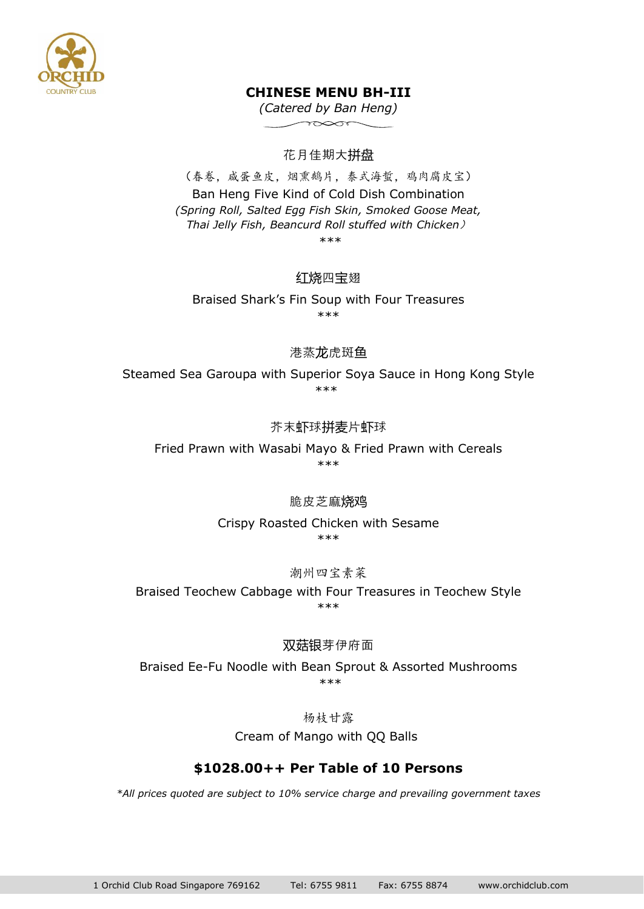

# **CHINESE MENU BH-III**

*(Catered by Ban Heng)*  $\sim$ 

# 花月佳期大拼盘

(春卷,咸蛋鱼皮,烟熏鹅片,泰式海蜇,鸡肉腐皮宝) Ban Heng Five Kind of Cold Dish Combination *(Spring Roll, Salted Egg Fish Skin, Smoked Goose Meat, Thai Jelly Fish, Beancurd Roll stuffed with Chicken*) \*\*\*

# 红烧四宝翅

Braised Shark's Fin Soup with Four Treasures \*\*\*

### 港蒸龙虎斑鱼

Steamed Sea Garoupa with Superior Soya Sauce in Hong Kong Style \*\*\*

### 芥末虾球拼麦片虾球

Fried Prawn with Wasabi Mayo & Fried Prawn with Cereals \*\*\*

#### 脆皮芝麻烧鸡

Crispy Roasted Chicken with Sesame \*\*\*

#### 潮州四宝素菜

Braised Teochew Cabbage with Four Treasures in Teochew Style \*\*\*

#### 双菇银芽伊府面

Braised Ee-Fu Noodle with Bean Sprout & Assorted Mushrooms \*\*\*

杨枝甘露

Cream of Mango with QQ Balls

#### **\$1028.00++ Per Table of 10 Persons**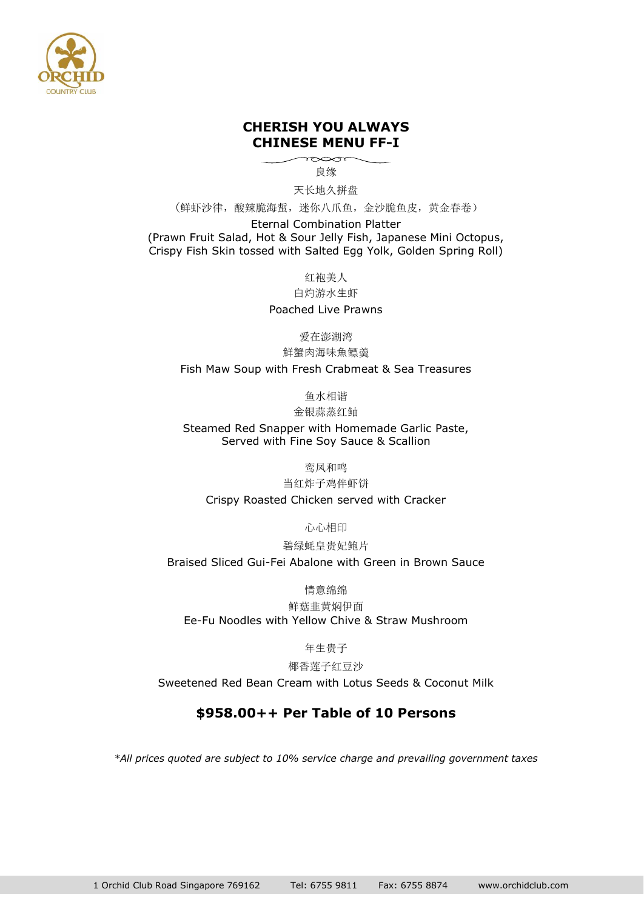

### **CHERISH YOU ALWAYS CHINESE MENU FF-I**

 $\gamma \infty$ 良缘

天长地久拼盘

(鲜虾沙律,酸辣脆海蜇,迷你八爪鱼,金沙脆鱼皮,黄金春卷)

Eternal Combination Platter (Prawn Fruit Salad, Hot & Sour Jelly Fish, Japanese Mini Octopus, Crispy Fish Skin tossed with Salted Egg Yolk, Golden Spring Roll)

红袍美人

白灼游水生虾

Poached Live Prawns

爱在澎湖湾

鮮蟹肉海味魚鳔羮

Fish Maw Soup with Fresh Crabmeat & Sea Treasures

鱼水相谐

金银蒜蒸红鲉

Steamed Red Snapper with Homemade Garlic Paste, Served with Fine Soy Sauce & Scallion

鸾凤和鸣

当红炸子鸡伴虾饼

Crispy Roasted Chicken served with Cracker

心心相印

碧绿蚝皇贵妃鲍片

Braised Sliced Gui-Fei Abalone with Green in Brown Sauce

情意绵绵

鲜菇韭黄焖伊面 Ee-Fu Noodles with Yellow Chive & Straw Mushroom

年生贵子

椰香莲子红豆沙

Sweetened Red Bean Cream with Lotus Seeds & Coconut Milk

# **\$958.00++ Per Table of 10 Persons**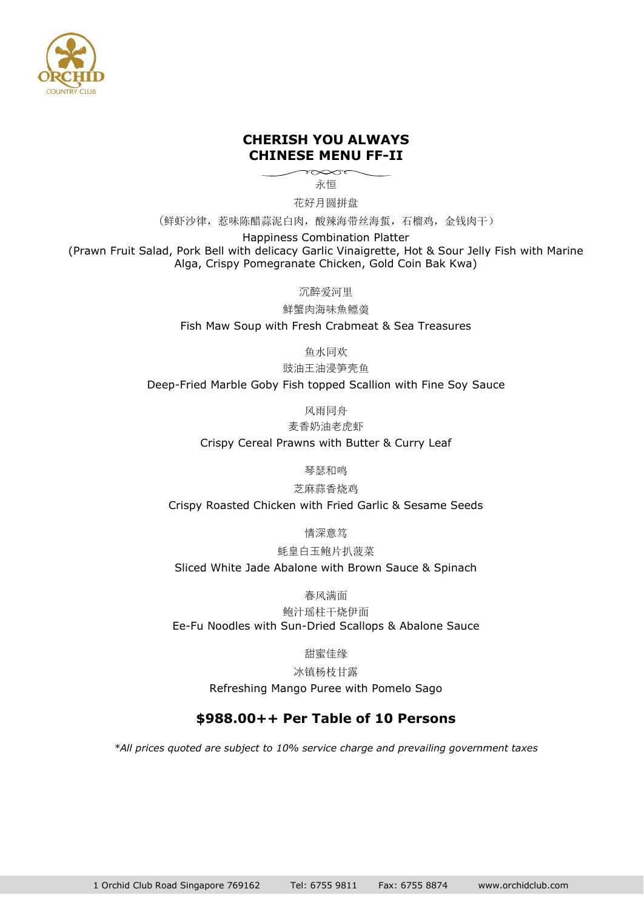

#### **CHERISH YOU ALWAYS CHINESE MENU FF-II**

 $\sim$ 永恒

花好月圆拼盘

(鲜虾沙律,惹味陈醋蒜泥白肉,酸辣海带丝海蜇,石榴鸡,金钱肉干)

Happiness Combination Platter

(Prawn Fruit Salad, Pork Bell with delicacy Garlic Vinaigrette, Hot & Sour Jelly Fish with Marine Alga, Crispy Pomegranate Chicken, Gold Coin Bak Kwa)

沉醉爱河里

鮮蟹肉海味魚鳔羮

Fish Maw Soup with Fresh Crabmeat & Sea Treasures

鱼水同欢

豉油王油浸笋壳鱼

Deep-Fried Marble Goby Fish topped Scallion with Fine Soy Sauce

风雨同舟

麦香奶油老虎虾

Crispy Cereal Prawns with Butter & Curry Leaf

琴瑟和鸣

芝麻蒜香烧鸡

Crispy Roasted Chicken with Fried Garlic & Sesame Seeds

情深意笃

蚝皇白玉鲍片扒菠菜

Sliced White Jade Abalone with Brown Sauce & Spinach

春风满面

鲍汁瑶柱干烧伊面 Ee-Fu Noodles with Sun-Dried Scallops & Abalone Sauce

甜蜜佳缘

冰镇杨枝甘露

Refreshing Mango Puree with Pomelo Sago

#### **\$988.00++ Per Table of 10 Persons**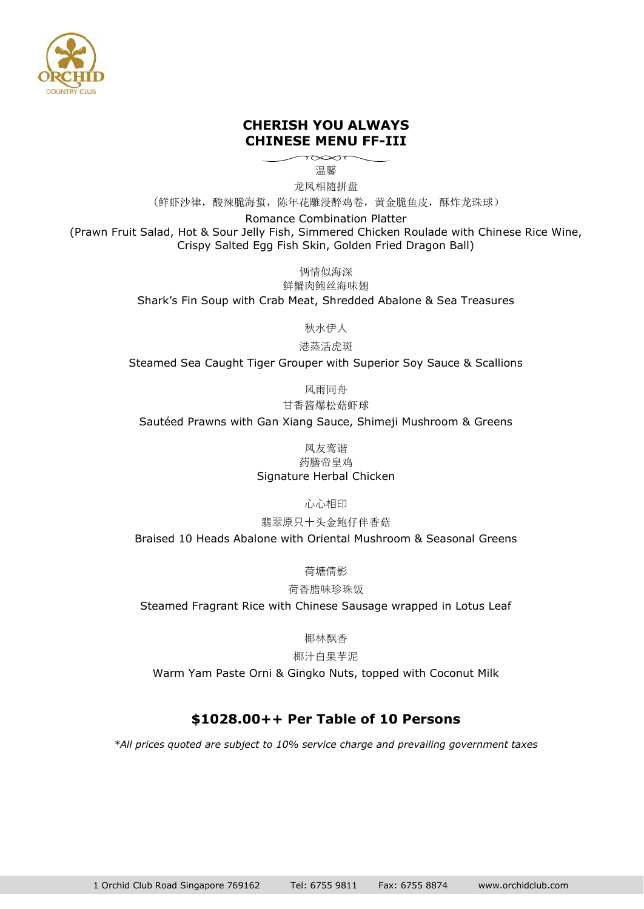

### **CHERISH YOU ALWAYS CHINESE MENU FF-III**

温馨

龙凤相随拼盘

(鲜虾沙律,酸辣脆海蜇,陈年花雕浸醉鸡卷,黄金脆鱼皮,酥炸龙珠球)

Romance Combination Platter

(Prawn Fruit Salad, Hot & Sour Jelly Fish, Simmered Chicken Roulade with Chinese Rice Wine, Crispy Salted Egg Fish Skin, Golden Fried Dragon Ball)

俩情似海深

鲜蟹肉鲍丝海味翅 Shark's Fin Soup with Crab Meat, Shredded Abalone & Sea Treasures

秋水伊人

港蒸活虎斑

Steamed Sea Caught Tiger Grouper with Superior Soy Sauce & Scallions

风雨同舟

甘香酱爆松菇虾球

Sautéed Prawns with Gan Xiang Sauce, Shimeji Mushroom & Greens

凤友鸾谐 药膳帝皇鸡 Signature Herbal Chicken

心心相印

翡翠原只十头金鲍仔伴香菇

Braised 10 Heads Abalone with Oriental Mushroom & Seasonal Greens

荷塘倩影

荷香腊味珍珠饭

Steamed Fragrant Rice with Chinese Sausage wrapped in Lotus Leaf

椰林飘香

椰汁白果芋泥

Warm Yam Paste Orni & Gingko Nuts, topped with Coconut Milk

# **\$1028.00++ Per Table of 10 Persons**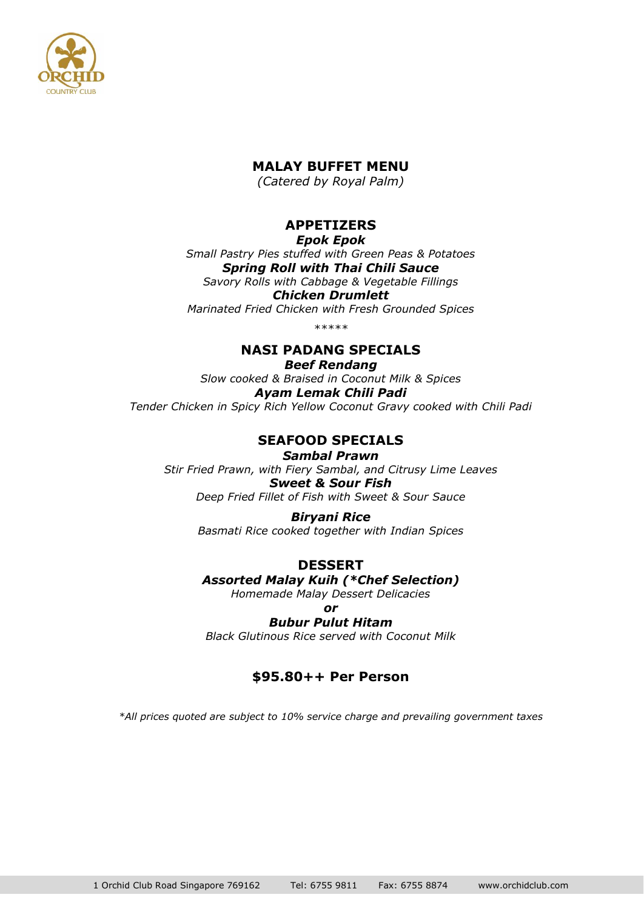

## **MALAY BUFFET MENU**

*(Catered by Royal Palm)*

# **APPETIZERS**

*Epok Epok*

*Small Pastry Pies stuffed with Green Peas & Potatoes Spring Roll with Thai Chili Sauce Savory Rolls with Cabbage & Vegetable Fillings*

*Chicken Drumlett Marinated Fried Chicken with Fresh Grounded Spices*

*\*\*\*\*\**

# **NASI PADANG SPECIALS**

*Beef Rendang Slow cooked & Braised in Coconut Milk & Spices Ayam Lemak Chili Padi Tender Chicken in Spicy Rich Yellow Coconut Gravy cooked with Chili Padi*

# **SEAFOOD SPECIALS**

*Sambal Prawn Stir Fried Prawn, with Fiery Sambal, and Citrusy Lime Leaves Sweet & Sour Fish Deep Fried Fillet of Fish with Sweet & Sour Sauce*

> *Biryani Rice Basmati Rice cooked together with Indian Spices*

**DESSERT** *Assorted Malay Kuih (\*Chef Selection)*

*Homemade Malay Dessert Delicacies*

*or Bubur Pulut Hitam*

*Black Glutinous Rice served with Coconut Milk*

# **\$95.80++ Per Person**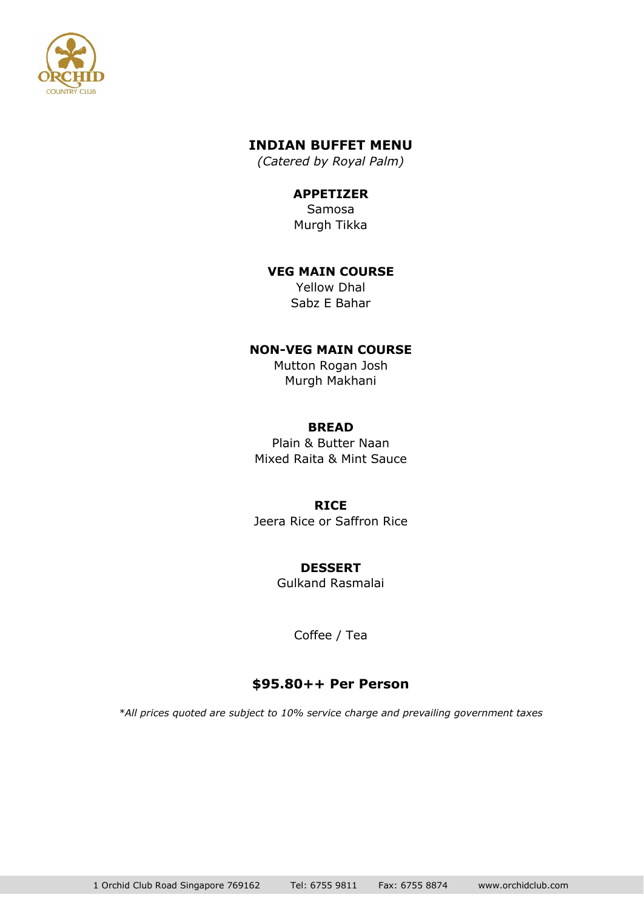

# **INDIAN BUFFET MENU**

*(Catered by Royal Palm)*

# **APPETIZER**

Samosa Murgh Tikka

#### **VEG MAIN COURSE**

Yellow Dhal Sabz E Bahar

### **NON-VEG MAIN COURSE**

Mutton Rogan Josh Murgh Makhani

#### **BREAD**

Plain & Butter Naan Mixed Raita & Mint Sauce

#### **RICE**

Jeera Rice or Saffron Rice

# **DESSERT**

Gulkand Rasmalai

Coffee / Tea

# **\$95.80++ Per Person**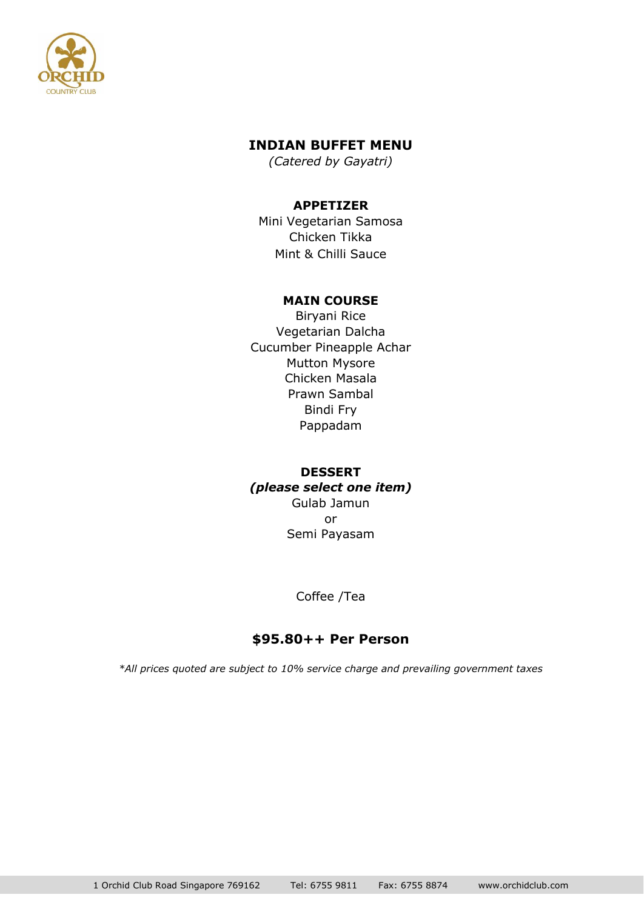

# **INDIAN BUFFET MENU**

*(Catered by Gayatri)*

#### **APPETIZER**

Mini Vegetarian Samosa Chicken Tikka Mint & Chilli Sauce

#### **MAIN COURSE**

Biryani Rice Vegetarian Dalcha Cucumber Pineapple Achar Mutton Mysore Chicken Masala Prawn Sambal Bindi Fry Pappadam

### **DESSERT** *(please select one item)* Gulab Jamun or Semi Payasam

Coffee /Tea

# **\$95.80++ Per Person**